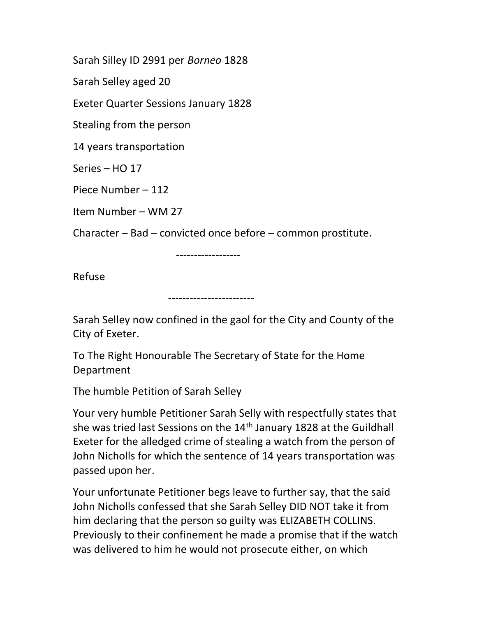Sarah Silley ID 2991 per Borneo 1828

Sarah Selley aged 20

Exeter Quarter Sessions January 1828

Stealing from the person

14 years transportation

Series – HO 17

Piece Number – 112

Item Number – WM 27

Character – Bad – convicted once before – common prostitute.

------------------

Refuse

------------------------

Sarah Selley now confined in the gaol for the City and County of the City of Exeter.

To The Right Honourable The Secretary of State for the Home Department

The humble Petition of Sarah Selley

Your very humble Petitioner Sarah Selly with respectfully states that she was tried last Sessions on the  $14<sup>th</sup>$  January 1828 at the Guildhall Exeter for the alledged crime of stealing a watch from the person of John Nicholls for which the sentence of 14 years transportation was passed upon her.

Your unfortunate Petitioner begs leave to further say, that the said John Nicholls confessed that she Sarah Selley DID NOT take it from him declaring that the person so guilty was ELIZABETH COLLINS. Previously to their confinement he made a promise that if the watch was delivered to him he would not prosecute either, on which